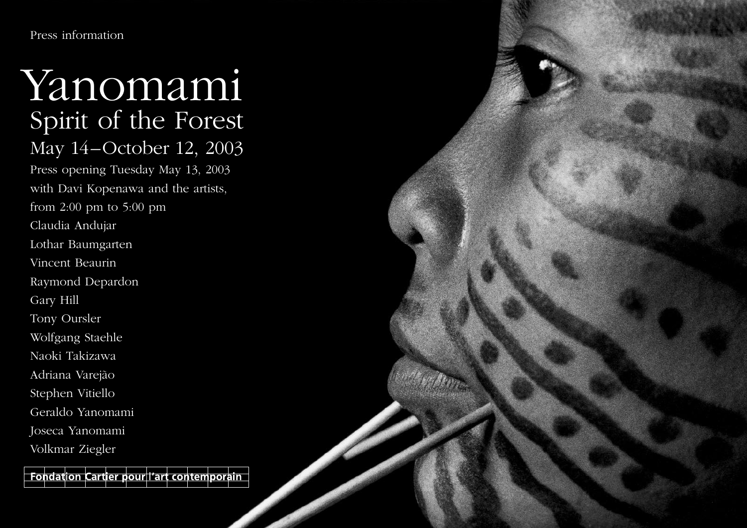Press information

# Spirit of the Forest May 14–October 12, 2003 Press opening Tuesday May 13, 2003 with Davi Kopenawa and the artists, from 2:00 pm to 5:00 pm Claudia Andujar Lothar Baumgarten Vincent Beaurin Raymond Depardon Gary Hill Tony Oursler Wolfgang Staehle Naoki Takizawa Adriana Varejão Stephen Vitiello Geraldo Yanomami Joseca Yanomami Volkmar Ziegler Yanomami

Cartier pour l'art contemporain Fondation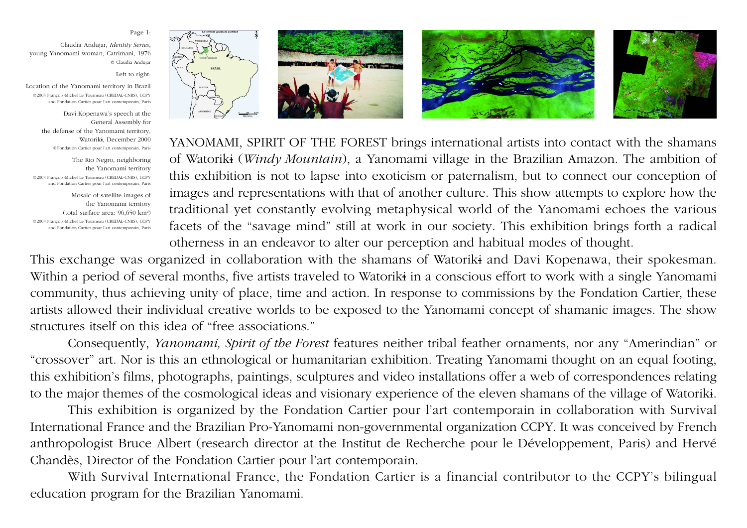#### Page 1:

Claudia Andujar, *Identity Series*, young Yanomami woman, Catrimani, 1976 © Claudia Andujar

Left to right:

Location of the Yanomami territory in Brazil ©2003 François-Michel Le Tourneau (CREDAL-CNRS), CCPY and Fondation Cartier pour l'art contemporain, Paris

> Davi Kopenawa's speech at the General Assembly for the defense of the Yanomami territory, Watoriki, December 2000 ©Fondation Cartier pour l'art contemporain, Paris

The Rio Negro, neighboring the Yanomami territory ©2003 François-Michel Le Tourneau (CREDAL-CNRS), CCPY and Fondation Cartier pour l'art contemporain, Paris

Mosaic of satellite images of the Yanomami territory (total surface area: 96,650 km<sup>2</sup>) ©2003 François-Michel Le Tourneau (CREDAL-CNRS), CCPY and Fondation Cartier pour l'art contemporain, Paris





YANOMAMI, SPIRIT OF THE FOREST brings international artists into contact with the shamans of Watoriki (*Windy Mountain*), a Yanomami village in the Brazilian Amazon. The ambition of this exhibition is not to lapse into exoticism or paternalism, but to connect our conception of images and representations with that of another culture. This show attempts to explore how the traditional yet constantly evolving metaphysical world of the Yanomami echoes the various facets of the "savage mind" still at work in our society. This exhibition brings forth a radical otherness in an endeavor to alter our perception and habitual modes of thought.

This exchange was organized in collaboration with the shamans of Watoriki and Davi Kopenawa, their spokesman. Within a period of several months, five artists traveled to Watoriki in a conscious effort to work with a single Yanomami community, thus achieving unity of place, time and action. In response to commissions by the Fondation Cartier, these artists allowed their individual creative worlds to be exposed to the Yanomami concept of shamanic images. The show structures itself on this idea of "free associations."

Consequently, *Yanomami, Spirit of the Forest* features neither tribal feather ornaments, nor any "Amerindian" or "crossover" art. Nor is this an ethnological or humanitarian exhibition. Treating Yanomami thought on an equal footing, this exhibition's films, photographs, paintings, sculptures and video installations offer a web of correspondences relating to the major themes of the cosmological ideas and visionary experience of the eleven shamans of the village of Watoriki.

This exhibition is organized by the Fondation Cartier pour l'art contemporain in collaboration with Survival International France and the Brazilian Pro-Yanomami non-governmental organization CCPY. It was conceived by French anthropologist Bruce Albert (research director at the Institut de Recherche pour le Développement, Paris) and Hervé Chandès, Director of the Fondation Cartier pour l'art contemporain.

With Survival International France, the Fondation Cartier is a financial contributor to the CCPY's bilingual education program for the Brazilian Yanomami.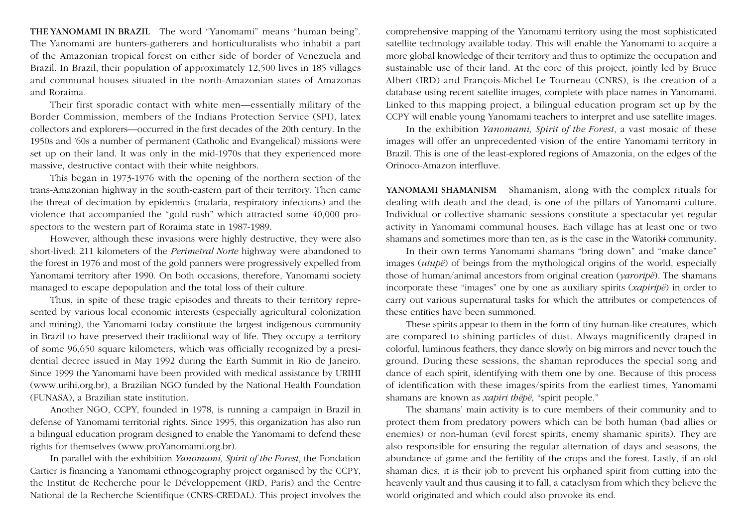THE YANOMAMI IN BRAZIL The word "Yanomami" means "human being". The Yanomami are hunters-gatherers and horticulturalists who inhabit a part of the Amazonian tropical forest on either side of border of Venezuela and Brazil. In Brazil, their population of approximately 12,500 lives in 185 villages and communal houses situated in the north-Amazonian states of Amazonas and Roraima.

Their first sporadic contact with white men—essentially military of the Border Commission, members of the Indians Protection Service (SPI), latex collectors and explorers—occurred in the first decades of the 20th century. In the 1950s and '60s a number of permanent (Catholic and Evangelical) missions were set up on their land. It was only in the mid-1970s that they experienced more massive, destructive contact with their white neighbors.

This began in 1973-1976 with the opening of the northern section of the trans-Amazonian highway in the south-eastern part of their territory. Then came the threat of decimation by epidemics (malaria, respiratory infections) and the violence that accompanied the "gold rush" which attracted some 40,000 prospectors to the western part of Roraima state in 1987-1989.

However, although these invasions were highly destructive, they were also short-lived: 211 kilometers of the *Perimetral Norte* highway were abandoned to the forest in 1976 and most of the gold panners were progressively expelled from Yanomami territory after 1990. On both occasions, therefore, Yanomami society managed to escape depopulation and the total loss of their culture.

Thus, in spite of these tragic episodes and threats to their territory represented by various local economic interests (especially agricultural colonization and mining), the Yanomami today constitute the largest indigenous community in Brazil to have preserved their traditional way of life. They occupy a territory of some 96,650 square kilometers, which was officially recognized by a presidential decree issued in May 1992 during the Earth Summit in Rio de Janeiro. Since 1999 the Yanomami have been provided with medical assistance by URIHI (www.urihi.org.br), a Brazilian NGO funded by the National Health Foundation (FUNASA), a Brazilian state institution.

Another NGO, CCPY, founded in 1978, is running a campaign in Brazil in defense of Yanomami territorial rights. Since 1995, this organization has also run a bilingual education program designed to enable the Yanomami to defend these rights for themselves (www.proYanomami.org.br).

In parallel with the exhibition *Yanomami, Spirit of the Forest*, the Fondation Cartier is financing a Yanomami ethnogeography project organised by the CCPY, the Institut de Recherche pour le Développement (IRD, Paris) and the Centre National de la Recherche Scientifique (CNRS-CREDAL). This project involves the

comprehensive mapping of the Yanomami territory using the most sophisticated satellite technology available today. This will enable the Yanomami to acquire a more global knowledge of their territory and thus to optimize the occupation and sustainable use of their land. At the core of this project, jointly led by Bruce Albert (IRD) and François-Michel Le Tourneau (CNRS), is the creation of a database using recent satellite images, complete with place names in Yanomami. Linked to this mapping project, a bilingual education program set up by the CCPY will enable young Yanomami teachers to interpret and use satellite images.

In the exhibition *Yanomami, Spirit of the Forest*, a vast mosaic of these images will offer an unprecedented vision of the entire Yanomami territory in Brazil. This is one of the least-explored regions of Amazonia, on the edges of the Orinoco-Amazon interfluve.

YANOMAMI SHAMANISM Shamanism, along with the complex rituals for dealing with death and the dead, is one of the pillars of Yanomami culture. Individual or collective shamanic sessions constitute a spectacular yet regular activity in Yanomami communal houses. Each village has at least one or two shamans and sometimes more than ten, as is the case in the Watoriki community.

In their own terms Yanomami shamans "bring down" and "make dance" images (*utupë*) of beings from the mythological origins of the world, especially those of human/animal ancestors from original creation (*yaroripë*). The shamans incorporate these "images" one by one as auxiliary spirits (*xapiripë*) in order to carry out various supernatural tasks for which the attributes or competences of these entities have been summoned.

These spirits appear to them in the form of tiny human-like creatures, which are compared to shining particles of dust. Always magnificently draped in colorful, luminous feathers, they dance slowly on big mirrors and never touch the ground. During these sessions, the shaman reproduces the special song and dance of each spirit, identifying with them one by one. Because of this process of identification with these images/spirits from the earliest times, Yanomami shamans are known as *xapiri thëpë*, "spirit people."

The shamans' main activity is to cure members of their community and to protect them from predatory powers which can be both human (bad allies or enemies) or non-human (evil forest spirits, enemy shamanic spirits). They are also responsible for ensuring the regular alternation of days and seasons, the abundance of game and the fertility of the crops and the forest. Lastly, if an old shaman dies, it is their job to prevent his orphaned spirit from cutting into the heavenly vault and thus causing it to fall, a cataclysm from which they believe the world originated and which could also provoke its end.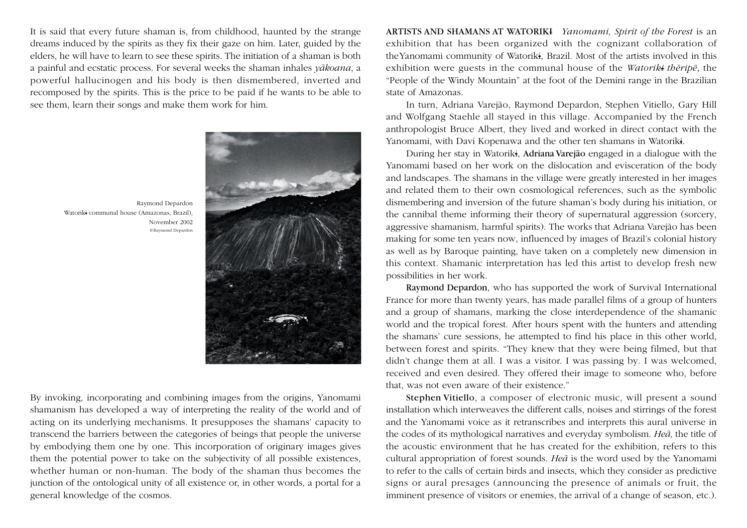It is said that every future shaman is, from childhood, haunted by the strange dreams induced by the spirits as they fix their gaze on him. Later, guided by the elders, he will have to learn to see these spirits. The initiation of a shaman is both a painful and ecstatic process. For several weeks the shaman inhales *yãkoana*, <sup>a</sup> powerful hallucinogen and his body is then dismembered, inverted and recomposed by the spirits. This is the price to be paid if he wants to be able to see them, learn their songs and make them work for him.

Raymond Depardon Watoriki communal house (Amazonas, Brazil), November 2002 ©Raymond Depardon

By invoking, incorporating and combining images from the origins, Yanomami shamanism has developed a way of interpreting the reality of the world and of acting on its underlying mechanisms. It presupposes the shamans' capacity to transcend the barriers between the categories of beings that people the universe by embodying them one by one. This incorporation of originary images gives them the potential power to take on the subjectivity of all possible existences, whether human or non-human. The body of the shaman thus becomes the junction of the ontological unity of all existence or, in other words, a portal for a general knowledge of the cosmos.

ARTISTS AND SHAMANS AT WATORIKI *Yanomami, Spirit of the Forest* is an exhibition that has been organized with the cognizant collaboration of theYanomami community of Watoriki, Brazil. Most of the artists involved in this exhibition were guests in the communal house of the *Watoriki thëripë*, the "People of the Windy Mountain" at the foot of the Demini range in the Brazilian state of Amazonas.

In turn, Adriana Varejão, Raymond Depardon, Stephen Vitiello, Gary Hill and Wolfgang Staehle all stayed in this village. Accompanied by the French anthropologist Bruce Albert, they lived and worked in direct contact with the Yanomami, with Davi Kopenawa and the other ten shamans in Watoriki.

During her stay in Watoriki, Adriana Varejão engaged in a dialogue with the Yanomami based on her work on the dislocation and evisceration of the body and landscapes. The shamans in the village were greatly interested in her images and related them to their own cosmological references, such as the symbolic dismembering and inversion of the future shaman's body during his initiation, or the cannibal theme informing their theory of supernatural aggression (sorcery, aggressive shamanism, harmful spirits). The works that Adriana Varejão has been making for some ten years now, influenced by images of Brazil's colonial history as well as by Baroque painting, have taken on a completely new dimension in this context. Shamanic interpretation has led this artist to develop fresh new possibilities in her work.

Raymond Depardon, who has supported the work of Survival International France for more than twenty years, has made parallel films of a group of hunters and a group of shamans, marking the close interdependence of the shamanic world and the tropical forest. After hours spent with the hunters and attending the shamans' cure sessions, he attempted to find his place in this other world, between forest and spirits. "They knew that they were being filmed, but that didn't change them at all. I was a visitor. I was passing by. I was welcomed, received and even desired. They offered their image to someone who, before that, was not even aware of their existence."

Stephen Vitiello, a composer of electronic music, will present a sound installation which interweaves the different calls, noises and stirrings of the forest and the Yanomami voice as it retranscribes and interprets this aural universe in the codes of its mythological narratives and everyday symbolism. *Heã,* the title of the acoustic environment that he has created for the exhibition, refers to this cultural appropriation of forest sounds. *Heã* is the word used by the Yanomami to refer to the calls of certain birds and insects, which they consider as predictive signs or aural presages (announcing the presence of animals or fruit, the imminent presence of visitors or enemies, the arrival of a change of season, etc.).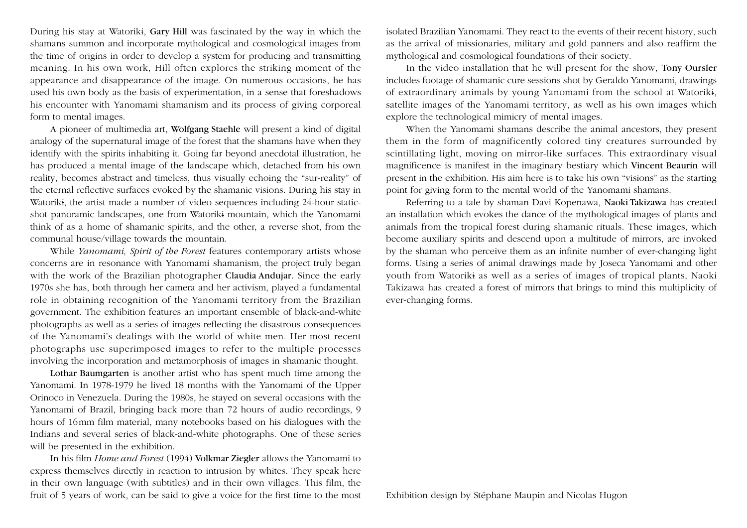During his stay at Watoriki, Gary Hill was fascinated by the way in which the shamans summon and incorporate mythological and cosmological images from the time of origins in order to develop a system for producing and transmitting meaning. In his own work, Hill often explores the striking moment of the appearance and disappearance of the image. On numerous occasions, he has used his own body as the basis of experimentation, in a sense that foreshadows his encounter with Yanomami shamanism and its process of giving corporeal form to mental images.

A pioneer of multimedia art, Wolfgang Staehle will present a kind of digital analogy of the supernatural image of the forest that the shamans have when they identify with the spirits inhabiting it. Going far beyond anecdotal illustration, he has produced a mental image of the landscape which, detached from his own reality, becomes abstract and timeless, thus visually echoing the "sur-reality" of the eternal reflective surfaces evoked by the shamanic visions. During his stay in Watoriki, the artist made a number of video sequences including 24-hour staticshot panoramic landscapes, one from Watoriki mountain, which the Yanomami think of as a home of shamanic spirits, and the other, a reverse shot, from the communal house/village towards the mountain.

While *Yanomami, Spirit of the Forest* features contemporary artists whose concerns are in resonance with Yanomami shamanism, the project truly began with the work of the Brazilian photographer Claudia Andujar. Since the early 1970s she has, both through her camera and her activism, played a fundamental role in obtaining recognition of the Yanomami territory from the Brazilian government. The exhibition features an important ensemble of black-and-white photographs as well as a series of images reflecting the disastrous consequences of the Yanomami's dealings with the world of white men. Her most recent photographs use superimposed images to refer to the multiple processes involving the incorporation and metamorphosis of images in shamanic thought.

Lothar Baumgarten is another artist who has spent much time among the Yanomami. In 1978-1979 he lived 18 months with the Yanomami of the Upper Orinoco in Venezuela. During the 1980s, he stayed on several occasions with the Yanomami of Brazil, bringing back more than 72 hours of audio recordings, 9 hours of 16mm film material, many notebooks based on his dialogues with the Indians and several series of black-and-white photographs. One of these series will be presented in the exhibition.

In his film *Home and Forest* (1994) Volkmar Ziegler allows the Yanomami to express themselves directly in reaction to intrusion by whites. They speak here in their own language (with subtitles) and in their own villages. This film, the fruit of 5 years of work, can be said to give a voice for the first time to the most

isolated Brazilian Yanomami. They react to the events of their recent history, such as the arrival of missionaries, military and gold panners and also reaffirm the mythological and cosmological foundations of their society.

In the video installation that he will present for the show, Tony Oursler includes footage of shamanic cure sessions shot by Geraldo Yanomami, drawings of extraordinary animals by young Yanomami from the school at Watoriki, satellite images of the Yanomami territory, as well as his own images which explore the technological mimicry of mental images.

When the Yanomami shamans describe the animal ancestors, they present them in the form of magnificently colored tiny creatures surrounded by scintillating light, moving on mirror-like surfaces. This extraordinary visual magnificence is manifest in the imaginary bestiary which Vincent Beaurin will present in the exhibition. His aim here is to take his own "visions" as the starting point for giving form to the mental world of the Yanomami shamans.

Referring to a tale by shaman Davi Kopenawa, Naoki Takizawa has created an installation which evokes the dance of the mythological images of plants and animals from the tropical forest during shamanic rituals. These images, which become auxiliary spirits and descend upon a multitude of mirrors, are invoked by the shaman who perceive them as an infinite number of ever-changing light forms. Using a series of animal drawings made by Joseca Yanomami and other youth from Watoriki as well as a series of images of tropical plants, Naoki Takizawa has created a forest of mirrors that brings to mind this multiplicity of ever-changing forms.

Exhibition design by Stéphane Maupin and Nicolas Hugon